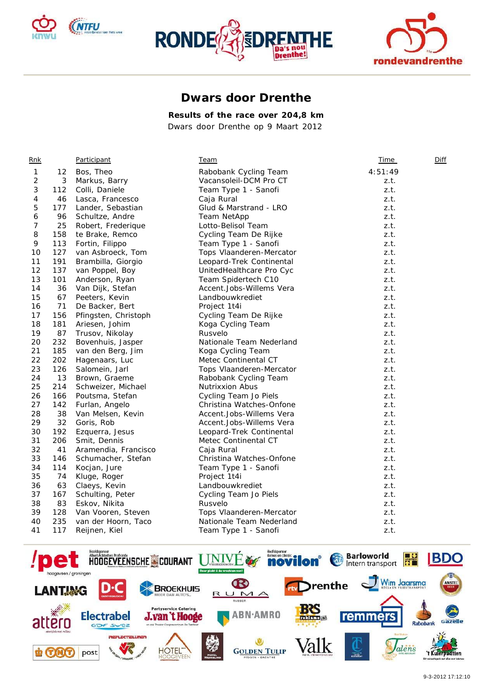





## **Dwars door Drenthe**

**Results of the race over 204,8 km** 

*Dwars door Drenthe op 9 Maart 2012* 

| Rnk |     | Participant          | <u>Team</u>              | <b>Time</b> | Diff |
|-----|-----|----------------------|--------------------------|-------------|------|
| 1   | 12  | Bos, Theo            | Rabobank Cycling Team    | 4:51:49     |      |
| 2   | 3   | Markus, Barry        | Vacansoleil-DCM Pro CT   | z.t.        |      |
| 3   | 112 | Colli, Daniele       | Team Type 1 - Sanofi     | z.t.        |      |
| 4   | 46  | Lasca, Francesco     | Caja Rural               | z.t.        |      |
| 5   | 177 | Lander, Sebastian    | Glud & Marstrand - LRO   | z.t.        |      |
| 6   | 96  | Schultze, Andre      | Team NetApp              | z.t.        |      |
| 7   | 25  | Robert, Frederique   | Lotto-Belisol Team       | z.t.        |      |
| 8   | 158 | te Brake, Remco      | Cycling Team De Rijke    | z.t.        |      |
| 9   | 113 | Fortin, Filippo      | Team Type 1 - Sanofi     | z.t.        |      |
| 10  | 127 | van Asbroeck, Tom    | Tops Vlaanderen-Mercator | z.t.        |      |
| 11  | 191 | Brambilla, Giorgio   | Leopard-Trek Continental | z.t.        |      |
| 12  | 137 | van Poppel, Boy      | UnitedHealthcare Pro Cyc | z.t.        |      |
| 13  | 101 | Anderson, Ryan       | Team Spidertech C10      | z.t.        |      |
| 14  | 36  | Van Dijk, Stefan     | Accent.Jobs-Willems Vera | z.t.        |      |
| 15  | 67  | Peeters, Kevin       | Landbouwkrediet          | z.t.        |      |
| 16  | 71  | De Backer, Bert      | Project 1t4i             | z.t.        |      |
| 17  | 156 | Pfingsten, Christoph | Cycling Team De Rijke    | z.t.        |      |
| 18  | 181 | Ariesen, Johim       | Koga Cycling Team        | z.t.        |      |
| 19  | 87  | Trusov, Nikolay      | Rusvelo                  | z.t.        |      |
| 20  | 232 | Bovenhuis, Jasper    | Nationale Team Nederland | z.t.        |      |
| 21  | 185 | van den Berg, Jim    | Koga Cycling Team        | z.t.        |      |
| 22  | 202 | Hagenaars, Luc       | Metec Continental CT     | z.t.        |      |
| 23  | 126 | Salomein, Jarl       | Tops Vlaanderen-Mercator | z.t.        |      |
| 24  | 13  | Brown, Graeme        | Rabobank Cycling Team    | z.t.        |      |
| 25  | 214 | Schweizer, Michael   | <b>Nutrixxion Abus</b>   | z.t.        |      |
| 26  | 166 | Poutsma, Stefan      | Cycling Team Jo Piels    | z.t.        |      |
| 27  | 142 | Furlan, Angelo       | Christina Watches-Onfone | z.t.        |      |
| 28  | 38  | Van Melsen, Kevin    | Accent.Jobs-Willems Vera | z.t.        |      |
| 29  | 32  | Goris, Rob           | Accent.Jobs-Willems Vera | z.t.        |      |
| 30  | 192 | Ezquerra, Jesus      | Leopard-Trek Continental | z.t.        |      |
| 31  | 206 | Smit, Dennis         | Metec Continental CT     | z.t.        |      |
| 32  | 41  | Aramendia, Francisco | Caja Rural               | z.t.        |      |
| 33  | 146 | Schumacher, Stefan   | Christina Watches-Onfone | z.t.        |      |
| 34  | 114 | Kocjan, Jure         | Team Type 1 - Sanofi     | z.t.        |      |
| 35  | 74  | Kluge, Roger         | Project 1t4i             | z.t.        |      |
| 36  | 63  | Claeys, Kevin        | Landbouwkrediet          | z.t.        |      |
| 37  | 167 | Schulting, Peter     | Cycling Team Jo Piels    | z.t.        |      |
| 38  | 83  | Eskov, Nikita        | Rusvelo                  | z.t.        |      |
| 39  | 128 | Van Vooren, Steven   | Tops Vlaanderen-Mercator | z.t.        |      |
| 40  | 235 | van der Hoorn, Taco  | Nationale Team Nederland | z.t.        |      |
| 41  | 117 | Reijnen, Kiel        | Team Type 1 - Sanofi     | z.t.        |      |